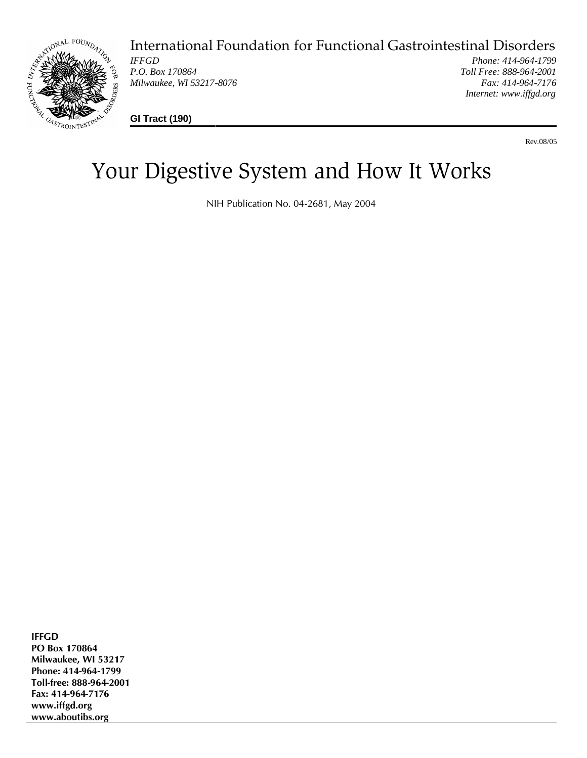### International Foundation for Functional Gastrointestinal Disorders



*Phone: 414-964-1799 Toll Free: 888-964-2001 Fax: 414-964-7176 Internet: www.iffgd.org*

**GI Tract (190)**

*P.O. Box 170864*

*Milwaukee, WI 53217-8076*

*IFFGD*

Rev.08/05

## Your Digestive System and How It Works

NIH Publication No. 04-2681, May 2004

**IFFGD** 

**PO Box 170864 Milwaukee, WI 53217 Phone: 414-964-1799 Toll-free: 888-964-2001 Fax: 414-964-7176 www.iffgd.org www.aboutibs.org**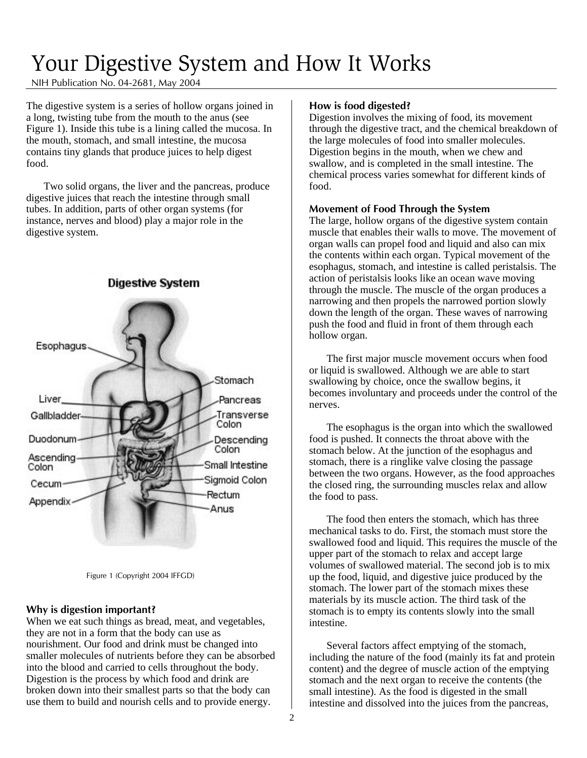# Your Digestive System and How It Works

NIH Publication No. 04-2681, May 2004

The digestive system is a series of hollow organs joined in a long, twisting tube from the mouth to the anus (see Figure 1). Inside this tube is a lining called the mucosa. In the mouth, stomach, and small intestine, the mucosa contains tiny glands that produce juices to help digest food.

Two solid organs, the liver and the pancreas, produce digestive juices that reach the intestine through small tubes. In addition, parts of other organ systems (for instance, nerves and blood) play a major role in the digestive system.



Figure 1 (Copyright 2004 IFFGD)

#### **Why is digestion important?**

When we eat such things as bread, meat, and vegetables, they are not in a form that the body can use as nourishment. Our food and drink must be changed into smaller molecules of nutrients before they can be absorbed into the blood and carried to cells throughout the body. Digestion is the process by which food and drink are broken down into their smallest parts so that the body can use them to build and nourish cells and to provide energy.

#### **How is food digested?**

Digestion involves the mixing of food, its movement through the digestive tract, and the chemical breakdown of the large molecules of food into smaller molecules. Digestion begins in the mouth, when we chew and swallow, and is completed in the small intestine. The chemical process varies somewhat for different kinds of food.

#### **Movement of Food Through the System**

The large, hollow organs of the digestive system contain muscle that enables their walls to move. The movement of organ walls can propel food and liquid and also can mix the contents within each organ. Typical movement of the esophagus, stomach, and intestine is called peristalsis. The action of peristalsis looks like an ocean wave moving through the muscle. The muscle of the organ produces a narrowing and then propels the narrowed portion slowly down the length of the organ. These waves of narrowing push the food and fluid in front of them through each hollow organ.

The first major muscle movement occurs when food or liquid is swallowed. Although we are able to start swallowing by choice, once the swallow begins, it becomes involuntary and proceeds under the control of the nerves.

The esophagus is the organ into which the swallowed food is pushed. It connects the throat above with the stomach below. At the junction of the esophagus and stomach, there is a ringlike valve closing the passage between the two organs. However, as the food approaches the closed ring, the surrounding muscles relax and allow the food to pass.

The food then enters the stomach, which has three mechanical tasks to do. First, the stomach must store the swallowed food and liquid. This requires the muscle of the upper part of the stomach to relax and accept large volumes of swallowed material. The second job is to mix up the food, liquid, and digestive juice produced by the stomach. The lower part of the stomach mixes these materials by its muscle action. The third task of the stomach is to empty its contents slowly into the small intestine.

Several factors affect emptying of the stomach, including the nature of the food (mainly its fat and protein content) and the degree of muscle action of the emptying stomach and the next organ to receive the contents (the small intestine). As the food is digested in the small intestine and dissolved into the juices from the pancreas,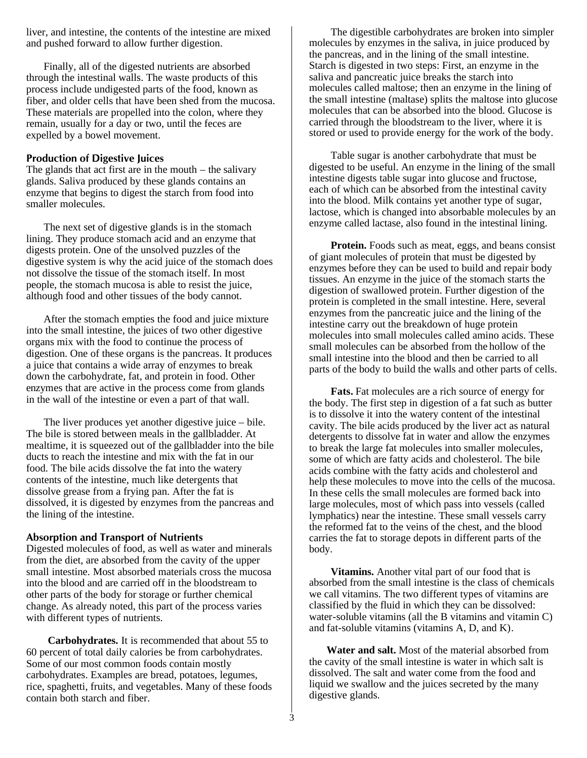liver, and intestine, the contents of the intestine are mixed and pushed forward to allow further digestion.

Finally, all of the digested nutrients are absorbed through the intestinal walls. The waste products of this process include undigested parts of the food, known as fiber, and older cells that have been shed from the mucosa. These materials are propelled into the colon, where they remain, usually for a day or two, until the feces are expelled by a bowel movement.

#### **Production of Digestive Juices**

The glands that act first are in the mouth – the salivary glands. Saliva produced by these glands contains an enzyme that begins to digest the starch from food into smaller molecules.

The next set of digestive glands is in the stomach lining. They produce stomach acid and an enzyme that digests protein. One of the unsolved puzzles of the digestive system is why the acid juice of the stomach does not dissolve the tissue of the stomach itself. In most people, the stomach mucosa is able to resist the juice, although food and other tissues of the body cannot.

After the stomach empties the food and juice mixture into the small intestine, the juices of two other digestive organs mix with the food to continue the process of digestion. One of these organs is the pancreas. It produces a juice that contains a wide array of enzymes to break down the carbohydrate, fat, and protein in food. Other enzymes that are active in the process come from glands in the wall of the intestine or even a part of that wall.

The liver produces yet another digestive juice – bile. The bile is stored between meals in the gallbladder. At mealtime, it is squeezed out of the gallbladder into the bile ducts to reach the intestine and mix with the fat in our food. The bile acids dissolve the fat into the watery contents of the intestine, much like detergents that dissolve grease from a frying pan. After the fat is dissolved, it is digested by enzymes from the pancreas and the lining of the intestine.

#### **Absorption and Transport of Nutrients**

Digested molecules of food, as well as water and minerals from the diet, are absorbed from the cavity of the upper small intestine. Most absorbed materials cross the mucosa into the blood and are carried off in the bloodstream to other parts of the body for storage or further chemical change. As already noted, this part of the process varies with different types of nutrients.

**Carbohydrates.** It is recommended that about 55 to 60 percent of total daily calories be from carbohydrates. Some of our most common foods contain mostly carbohydrates. Examples are bread, potatoes, legumes, rice, spaghetti, fruits, and vegetables. Many of these foods contain both starch and fiber.

The digestible carbohydrates are broken into simpler molecules by enzymes in the saliva, in juice produced by the pancreas, and in the lining of the small intestine. Starch is digested in two steps: First, an enzyme in the saliva and pancreatic juice breaks the starch into molecules called maltose; then an enzyme in the lining of the small intestine (maltase) splits the maltose into glucose molecules that can be absorbed into the blood. Glucose is carried through the bloodstream to the liver, where it is stored or used to provide energy for the work of the body.

Table sugar is another carbohydrate that must be digested to be useful. An enzyme in the lining of the small intestine digests table sugar into glucose and fructose, each of which can be absorbed from the intestinal cavity into the blood. Milk contains yet another type of sugar, lactose, which is changed into absorbable molecules by an enzyme called lactase, also found in the intestinal lining.

**Protein.** Foods such as meat, eggs, and beans consist of giant molecules of protein that must be digested by enzymes before they can be used to build and repair body tissues. An enzyme in the juice of the stomach starts the digestion of swallowed protein. Further digestion of the protein is completed in the small intestine. Here, several enzymes from the pancreatic juice and the lining of the intestine carry out the breakdown of huge protein molecules into small molecules called amino acids. These small molecules can be absorbed from the hollow of the small intestine into the blood and then be carried to all parts of the body to build the walls and other parts of cells.

**Fats.** Fat molecules are a rich source of energy for the body. The first step in digestion of a fat such as butter is to dissolve it into the watery content of the intestinal cavity. The bile acids produced by the liver act as natural detergents to dissolve fat in water and allow the enzymes to break the large fat molecules into smaller molecules, some of which are fatty acids and cholesterol. The bile acids combine with the fatty acids and cholesterol and help these molecules to move into the cells of the mucosa. In these cells the small molecules are formed back into large molecules, most of which pass into vessels (called lymphatics) near the intestine. These small vessels carry the reformed fat to the veins of the chest, and the blood carries the fat to storage depots in different parts of the body.

**Vitamins.** Another vital part of our food that is absorbed from the small intestine is the class of chemicals we call vitamins. The two different types of vitamins are classified by the fluid in which they can be dissolved: water-soluble vitamins (all the B vitamins and vitamin C) and fat-soluble vitamins (vitamins A, D, and K).

**Water and salt.** Most of the material absorbed from the cavity of the small intestine is water in which salt is dissolved. The salt and water come from the food and liquid we swallow and the juices secreted by the many digestive glands.